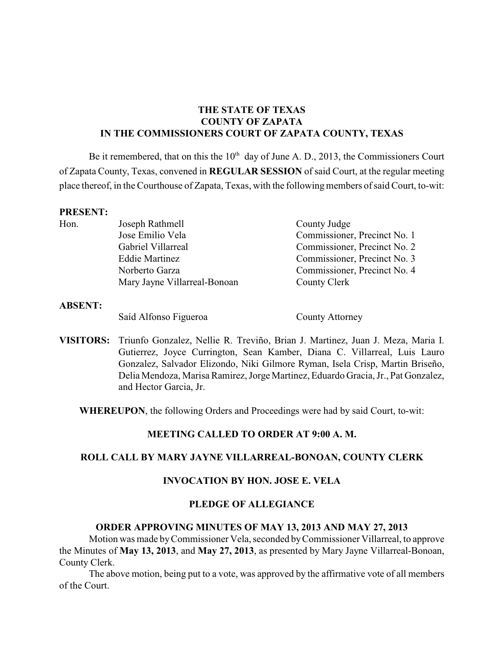# **THE STATE OF TEXAS COUNTY OF ZAPATA IN THE COMMISSIONERS COURT OF ZAPATA COUNTY, TEXAS**

Be it remembered, that on this the  $10<sup>th</sup>$  day of June A. D., 2013, the Commissioners Court of Zapata County, Texas, convened in **REGULAR SESSION** of said Court, at the regular meeting place thereof, in the Courthouse of Zapata, Texas, with the following members of said Court, to-wit:

#### **PRESENT:**

| Hon. | Joseph Rathmell              | County Judge                 |
|------|------------------------------|------------------------------|
|      | Jose Emilio Vela             | Commissioner, Precinct No. 1 |
|      | Gabriel Villarreal           | Commissioner, Precinct No. 2 |
|      | <b>Eddie Martinez</b>        | Commissioner, Precinct No. 3 |
|      | Norberto Garza               | Commissioner, Precinct No. 4 |
|      | Mary Jayne Villarreal-Bonoan | County Clerk                 |

#### **ABSENT:**

Saíd Alfonso Figueroa County Attorney

**VISITORS:** Triunfo Gonzalez, Nellie R. Treviño, Brian J. Martinez, Juan J. Meza, Maria I. Gutierrez, Joyce Currington, Sean Kamber, Diana C. Villarreal, Luis Lauro Gonzalez, Salvador Elizondo, Niki Gilmore Ryman, Isela Crisp, Martin Briseño, Delia Mendoza, Marisa Ramirez, Jorge Martinez, Eduardo Gracia, Jr., Pat Gonzalez, and Hector Garcia, Jr.

**WHEREUPON**, the following Orders and Proceedings were had by said Court, to-wit:

# **MEETING CALLED TO ORDER AT 9:00 A. M.**

#### **ROLL CALL BY MARY JAYNE VILLARREAL-BONOAN, COUNTY CLERK**

#### **INVOCATION BY HON. JOSE E. VELA**

#### **PLEDGE OF ALLEGIANCE**

#### **ORDER APPROVING MINUTES OF MAY 13, 2013 AND MAY 27, 2013**

Motion was made by Commissioner Vela, seconded byCommissioner Villarreal, to approve the Minutes of **May 13, 2013**, and **May 27, 2013**, as presented by Mary Jayne Villarreal-Bonoan, County Clerk.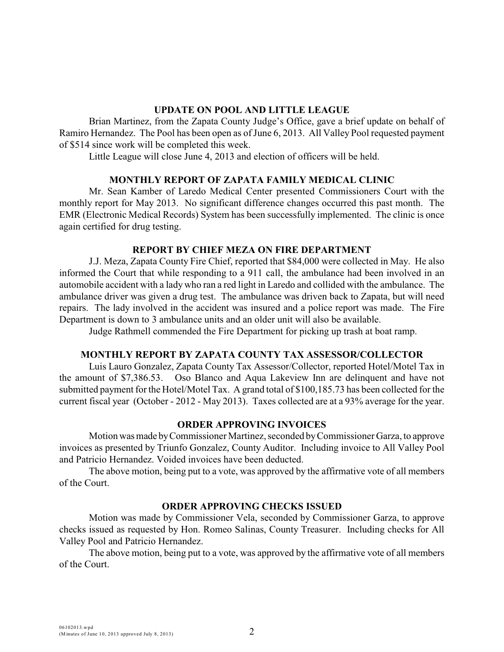#### **UPDATE ON POOL AND LITTLE LEAGUE**

Brian Martinez, from the Zapata County Judge's Office, gave a brief update on behalf of Ramiro Hernandez. The Pool has been open as of June 6, 2013. All Valley Pool requested payment of \$514 since work will be completed this week.

Little League will close June 4, 2013 and election of officers will be held.

#### **MONTHLY REPORT OF ZAPATA FAMILY MEDICAL CLINIC**

Mr. Sean Kamber of Laredo Medical Center presented Commissioners Court with the monthly report for May 2013. No significant difference changes occurred this past month. The EMR (Electronic Medical Records) System has been successfully implemented. The clinic is once again certified for drug testing.

#### **REPORT BY CHIEF MEZA ON FIRE DEPARTMENT**

J.J. Meza, Zapata County Fire Chief, reported that \$84,000 were collected in May. He also informed the Court that while responding to a 911 call, the ambulance had been involved in an automobile accident with a lady who ran a red light in Laredo and collided with the ambulance. The ambulance driver was given a drug test. The ambulance was driven back to Zapata, but will need repairs. The lady involved in the accident was insured and a police report was made. The Fire Department is down to 3 ambulance units and an older unit will also be available.

Judge Rathmell commended the Fire Department for picking up trash at boat ramp.

#### **MONTHLY REPORT BY ZAPATA COUNTY TAX ASSESSOR/COLLECTOR**

Luis Lauro Gonzalez, Zapata County Tax Assessor/Collector, reported Hotel/Motel Tax in the amount of \$7,386.53. Oso Blanco and Aqua Lakeview Inn are delinquent and have not submitted payment for the Hotel/Motel Tax. A grand total of \$100,185.73 has been collected for the current fiscal year (October - 2012 - May 2013). Taxes collected are at a 93% average for the year.

#### **ORDER APPROVING INVOICES**

Motion was made by Commissioner Martinez, seconded by Commissioner Garza, to approve invoices as presented by Triunfo Gonzalez, County Auditor. Including invoice to All Valley Pool and Patricio Hernandez. Voided invoices have been deducted.

The above motion, being put to a vote, was approved by the affirmative vote of all members of the Court.

#### **ORDER APPROVING CHECKS ISSUED**

Motion was made by Commissioner Vela, seconded by Commissioner Garza, to approve checks issued as requested by Hon. Romeo Salinas, County Treasurer. Including checks for All Valley Pool and Patricio Hernandez.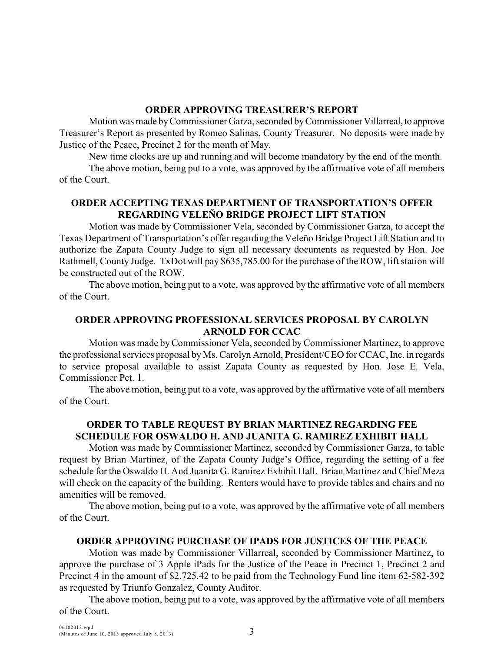#### **ORDER APPROVING TREASURER'S REPORT**

Motion was made by Commissioner Garza, seconded by Commissioner Villarreal, to approve Treasurer's Report as presented by Romeo Salinas, County Treasurer. No deposits were made by Justice of the Peace, Precinct 2 for the month of May.

New time clocks are up and running and will become mandatory by the end of the month.

The above motion, being put to a vote, was approved by the affirmative vote of all members of the Court.

# **ORDER ACCEPTING TEXAS DEPARTMENT OF TRANSPORTATION'S OFFER REGARDING VELEÑO BRIDGE PROJECT LIFT STATION**

Motion was made by Commissioner Vela, seconded by Commissioner Garza, to accept the Texas Department of Transportation's offer regarding the Veleño Bridge Project Lift Station and to authorize the Zapata County Judge to sign all necessary documents as requested by Hon. Joe Rathmell, County Judge. TxDot will pay \$635,785.00 for the purchase of the ROW, lift station will be constructed out of the ROW.

The above motion, being put to a vote, was approved by the affirmative vote of all members of the Court.

# **ORDER APPROVING PROFESSIONAL SERVICES PROPOSAL BY CAROLYN ARNOLD FOR CCAC**

Motion was made byCommissioner Vela, seconded by Commissioner Martinez, to approve the professional services proposal byMs. Carolyn Arnold, President/CEO for CCAC, Inc. in regards to service proposal available to assist Zapata County as requested by Hon. Jose E. Vela, Commissioner Pct. 1.

The above motion, being put to a vote, was approved by the affirmative vote of all members of the Court.

# **ORDER TO TABLE REQUEST BY BRIAN MARTINEZ REGARDING FEE SCHEDULE FOR OSWALDO H. AND JUANITA G. RAMIREZ EXHIBIT HALL**

Motion was made by Commissioner Martinez, seconded by Commissioner Garza, to table request by Brian Martinez, of the Zapata County Judge's Office, regarding the setting of a fee schedule for the Oswaldo H. And Juanita G. Ramirez Exhibit Hall. Brian Martinez and Chief Meza will check on the capacity of the building. Renters would have to provide tables and chairs and no amenities will be removed.

The above motion, being put to a vote, was approved by the affirmative vote of all members of the Court.

#### **ORDER APPROVING PURCHASE OF IPADS FOR JUSTICES OF THE PEACE**

Motion was made by Commissioner Villarreal, seconded by Commissioner Martinez, to approve the purchase of 3 Apple iPads for the Justice of the Peace in Precinct 1, Precinct 2 and Precinct 4 in the amount of \$2,725.42 to be paid from the Technology Fund line item 62-582-392 as requested by Triunfo Gonzalez, County Auditor.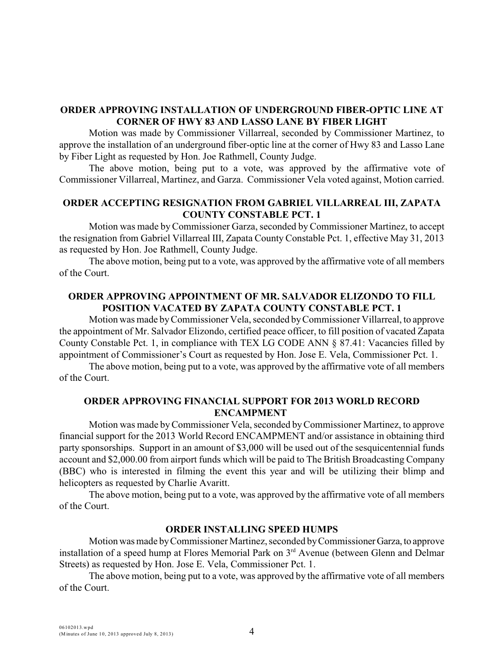### **ORDER APPROVING INSTALLATION OF UNDERGROUND FIBER-OPTIC LINE AT CORNER OF HWY 83 AND LASSO LANE BY FIBER LIGHT**

Motion was made by Commissioner Villarreal, seconded by Commissioner Martinez, to approve the installation of an underground fiber-optic line at the corner of Hwy 83 and Lasso Lane by Fiber Light as requested by Hon. Joe Rathmell, County Judge.

The above motion, being put to a vote, was approved by the affirmative vote of Commissioner Villarreal, Martinez, and Garza. Commissioner Vela voted against, Motion carried.

## **ORDER ACCEPTING RESIGNATION FROM GABRIEL VILLARREAL III, ZAPATA COUNTY CONSTABLE PCT. 1**

Motion was made by Commissioner Garza, seconded by Commissioner Martinez, to accept the resignation from Gabriel Villarreal III, Zapata County Constable Pct. 1, effective May 31, 2013 as requested by Hon. Joe Rathmell, County Judge.

The above motion, being put to a vote, was approved by the affirmative vote of all members of the Court.

# **ORDER APPROVING APPOINTMENT OF MR. SALVADOR ELIZONDO TO FILL POSITION VACATED BY ZAPATA COUNTY CONSTABLE PCT. 1**

Motion was made byCommissioner Vela, seconded by Commissioner Villarreal, to approve the appointment of Mr. Salvador Elizondo, certified peace officer, to fill position of vacated Zapata County Constable Pct. 1, in compliance with TEX LG CODE ANN § 87.41: Vacancies filled by appointment of Commissioner's Court as requested by Hon. Jose E. Vela, Commissioner Pct. 1.

The above motion, being put to a vote, was approved by the affirmative vote of all members of the Court.

### **ORDER APPROVING FINANCIAL SUPPORT FOR 2013 WORLD RECORD ENCAMPMENT**

Motion was made byCommissioner Vela, seconded byCommissioner Martinez, to approve financial support for the 2013 World Record ENCAMPMENT and/or assistance in obtaining third party sponsorships. Support in an amount of \$3,000 will be used out of the sesquicentennial funds account and \$2,000.00 from airport funds which will be paid to The British Broadcasting Company (BBC) who is interested in filming the event this year and will be utilizing their blimp and helicopters as requested by Charlie Avaritt.

The above motion, being put to a vote, was approved by the affirmative vote of all members of the Court.

#### **ORDER INSTALLING SPEED HUMPS**

Motion was made by Commissioner Martinez, seconded by Commissioner Garza, to approve installation of a speed hump at Flores Memorial Park on  $3<sup>rd</sup>$  Avenue (between Glenn and Delmar Streets) as requested by Hon. Jose E. Vela, Commissioner Pct. 1.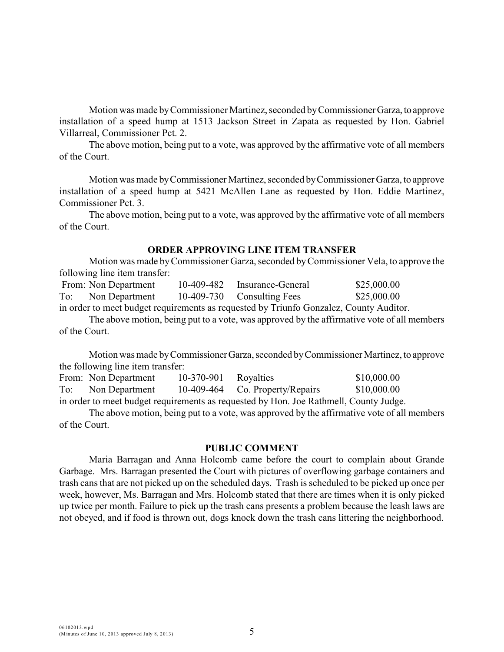Motion was made by Commissioner Martinez, seconded by Commissioner Garza, to approve installation of a speed hump at 1513 Jackson Street in Zapata as requested by Hon. Gabriel Villarreal, Commissioner Pct. 2.

The above motion, being put to a vote, was approved by the affirmative vote of all members of the Court.

Motion was made by Commissioner Martinez, seconded by Commissioner Garza, to approve installation of a speed hump at 5421 McAllen Lane as requested by Hon. Eddie Martinez, Commissioner Pct. 3.

The above motion, being put to a vote, was approved by the affirmative vote of all members of the Court.

#### **ORDER APPROVING LINE ITEM TRANSFER**

Motion was made by Commissioner Garza, seconded by Commissioner Vela, to approve the following line item transfer:

| From: Non Department  | 10-409-482 Insurance-General | \$25,000.00 |
|-----------------------|------------------------------|-------------|
| To:<br>Non Department | 10-409-730 Consulting Fees   | \$25,000.00 |

in order to meet budget requirements as requested by Triunfo Gonzalez, County Auditor.

The above motion, being put to a vote, was approved by the affirmative vote of all members of the Court.

Motion was made by Commissioner Garza, seconded by Commissioner Martinez, to approve the following line item transfer:

|     | From: Non Department | 10-370-901 | Royalties                                                                             | \$10,000.00 |
|-----|----------------------|------------|---------------------------------------------------------------------------------------|-------------|
| To: | Non Department       |            | 10-409-464 Co. Property/Repairs                                                       | \$10,000.00 |
|     |                      |            | in order to meet budget requirements as requested by Hon. Joe Rathmell, County Judge. |             |

The above motion, being put to a vote, was approved by the affirmative vote of all members of the Court.

#### **PUBLIC COMMENT**

Maria Barragan and Anna Holcomb came before the court to complain about Grande Garbage. Mrs. Barragan presented the Court with pictures of overflowing garbage containers and trash cans that are not picked up on the scheduled days. Trash is scheduled to be picked up once per week, however, Ms. Barragan and Mrs. Holcomb stated that there are times when it is only picked up twice per month. Failure to pick up the trash cans presents a problem because the leash laws are not obeyed, and if food is thrown out, dogs knock down the trash cans littering the neighborhood.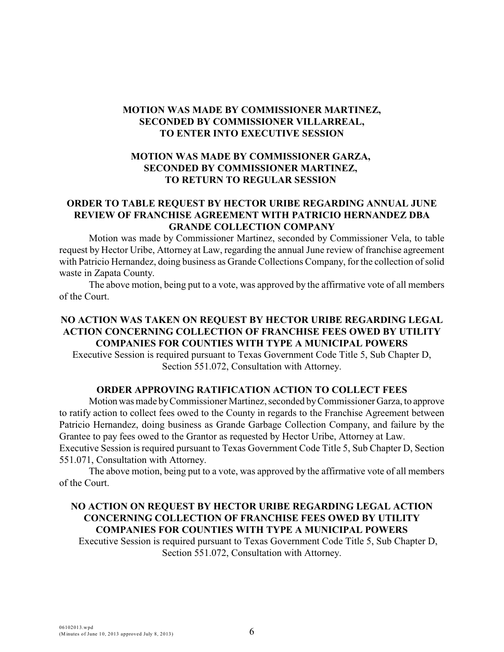# **MOTION WAS MADE BY COMMISSIONER MARTINEZ, SECONDED BY COMMISSIONER VILLARREAL, TO ENTER INTO EXECUTIVE SESSION**

# **MOTION WAS MADE BY COMMISSIONER GARZA, SECONDED BY COMMISSIONER MARTINEZ, TO RETURN TO REGULAR SESSION**

# **ORDER TO TABLE REQUEST BY HECTOR URIBE REGARDING ANNUAL JUNE REVIEW OF FRANCHISE AGREEMENT WITH PATRICIO HERNANDEZ DBA GRANDE COLLECTION COMPANY**

Motion was made by Commissioner Martinez, seconded by Commissioner Vela, to table request by Hector Uribe, Attorney at Law, regarding the annual June review of franchise agreement with Patricio Hernandez, doing business as Grande Collections Company, for the collection of solid waste in Zapata County.

The above motion, being put to a vote, was approved by the affirmative vote of all members of the Court.

### **NO ACTION WAS TAKEN ON REQUEST BY HECTOR URIBE REGARDING LEGAL ACTION CONCERNING COLLECTION OF FRANCHISE FEES OWED BY UTILITY COMPANIES FOR COUNTIES WITH TYPE A MUNICIPAL POWERS**

Executive Session is required pursuant to Texas Government Code Title 5, Sub Chapter D, Section 551.072, Consultation with Attorney.

# **ORDER APPROVING RATIFICATION ACTION TO COLLECT FEES**

Motion was made by Commissioner Martinez, seconded by Commissioner Garza, to approve to ratify action to collect fees owed to the County in regards to the Franchise Agreement between Patricio Hernandez, doing business as Grande Garbage Collection Company, and failure by the Grantee to pay fees owed to the Grantor as requested by Hector Uribe, Attorney at Law. Executive Session is required pursuant to Texas Government Code Title 5, Sub Chapter D, Section 551.071, Consultation with Attorney.

The above motion, being put to a vote, was approved by the affirmative vote of all members of the Court.

### **NO ACTION ON REQUEST BY HECTOR URIBE REGARDING LEGAL ACTION CONCERNING COLLECTION OF FRANCHISE FEES OWED BY UTILITY COMPANIES FOR COUNTIES WITH TYPE A MUNICIPAL POWERS**

 Executive Session is required pursuant to Texas Government Code Title 5, Sub Chapter D, Section 551.072, Consultation with Attorney.